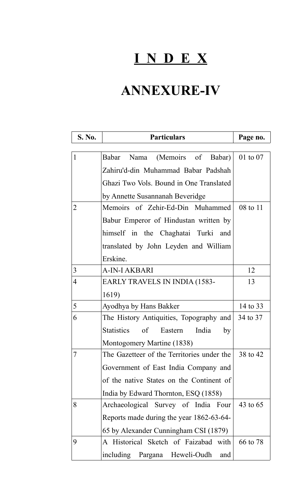## **I N D E X**

## **ANNEXURE-IV**

 $\overline{a}$ 

 $\overline{\phantom{a}}$ 

| S. No.         | <b>Particulars</b>                             | Page no. |
|----------------|------------------------------------------------|----------|
| $\mathbf{1}$   | (Memoirs of Babar)<br>Babar<br>Nama            | 01 to 07 |
|                |                                                |          |
|                | Zahiru'd-din Muhammad Babar Padshah            |          |
|                | Ghazi Two Vols. Bound in One Translated        |          |
|                | by Annette Susannanah Beveridge                |          |
| $\overline{2}$ | Memoirs of Zehir-Ed-Din Muhammed               | 08 to 11 |
|                | Babur Emperor of Hindustan written by          |          |
|                | himself in the Chaghatai Turki and             |          |
|                | translated by John Leyden and William          |          |
|                | Erskine.                                       |          |
| $\overline{3}$ | A-IN-I AKBARI                                  | 12       |
| $\overline{4}$ | EARLY TRAVELS IN INDIA (1583-                  | 13       |
|                | 1619)                                          |          |
| 5              | Ayodhya by Hans Bakker                         | 14 to 33 |
| 6              | The History Antiquities, Topography and        | 34 to 37 |
|                | <b>Statistics</b><br>of Eastern<br>India<br>by |          |
|                | Montogomery Martine (1838)                     |          |
| 7              | The Gazetteer of the Territories under the     | 38 to 42 |
|                | Government of East India Company and           |          |
|                | of the native States on the Continent of       |          |
|                |                                                |          |
| 8              | India by Edward Thornton, ESQ (1858)           | 43 to 65 |
|                | Archaeological Survey of India Four            |          |
|                | Reports made during the year 1862-63-64-       |          |
|                | 65 by Alexander Cunningham CSI (1879)          |          |
| 9              | A Historical Sketch of Faizabad with           | 66 to 78 |
|                | including Pargana Heweli-Oudh<br>and           |          |